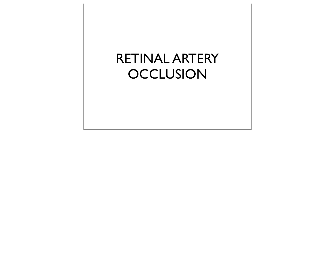# RETINAL ARTERY **OCCLUSION**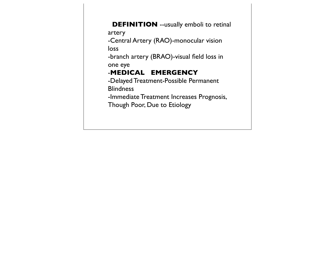**DEFINITION** --usually emboli to retinal artery -Central Artery (RAO)-monocular vision loss -branch artery (BRAO)-visual field loss in one eye -**MEDICAL EMERGENCY** -Delayed Treatment-Possible Permanent **Blindness** -Immediate Treatment Increases Prognosis, Though Poor, Due to Etiology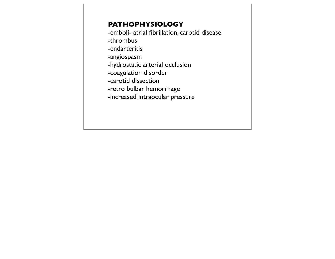#### **PATHOPHYSIOLOGY**

-emboli- atrial fibrillation, carotid disease

-thrombus

-endarteritis

-angiospasm

-hydrostatic arterial occlusion

-coagulation disorder

-carotid dissection

-retro bulbar hemorrhage

-increased intraocular pressure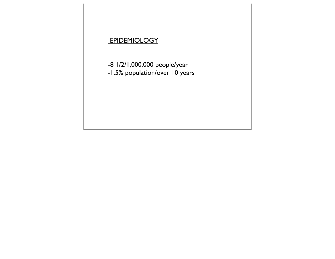## **EPIDEMIOLOGY**

-8 1/2/1,000,000 people/year -1.5% population/over 10 years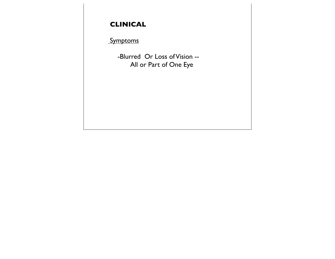# **CLINICAL**

## **Symptoms**

 -Blurred Or Loss of Vision -- All or Part of One Eye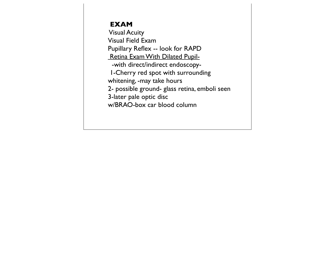#### **EXAM**

 Visual Acuity Visual Field Exam Pupillary Reflex -- look for RAPD Retina Exam With Dilated Pupil- -with direct/indirect endoscopy- 1-Cherry red spot with surrounding whitening, -may take hours 2- possible ground- glass retina, emboli seen 3-later pale optic disc w/BRAO-box car blood column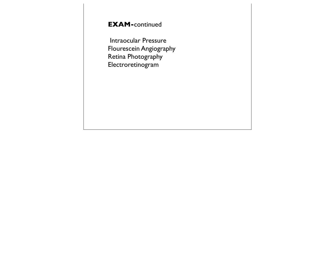## **EXAM-**continued

 Intraocular Pressure Flourescein Angiography Retina Photography Electroretinogram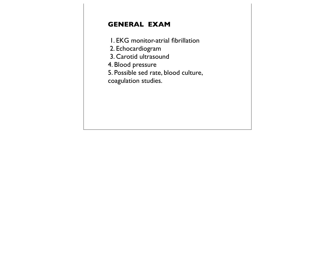## **GENERAL EXAM**

- 1. EKG monitor-atrial fibrillation
- 2. Echocardiogram
- 3. Carotid ultrasound
- 4. Blood pressure
- 5. Possible sed rate, blood culture,
- coagulation studies.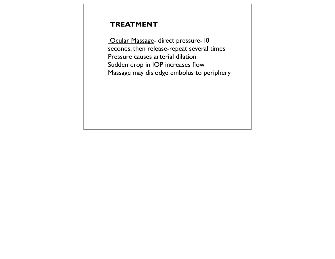#### **TREATMENT**

**Ocular Massage- direct pressure-10** seconds, then release-repeat several times Pressure causes arterial dilation Sudden drop in IOP increases flow Massage may dislodge embolus to periphery